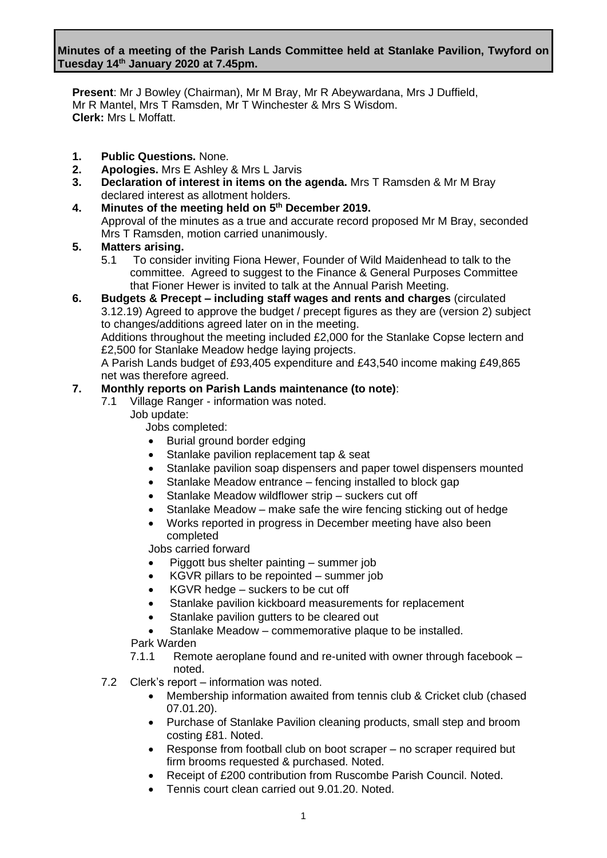**Present**: Mr J Bowley (Chairman), Mr M Bray, Mr R Abeywardana, Mrs J Duffield, Mr R Mantel, Mrs T Ramsden, Mr T Winchester & Mrs S Wisdom. **Clerk:** Mrs L Moffatt.

- **1. Public Questions.** None.
- **2. Apologies.** Mrs E Ashley & Mrs L Jarvis
- **3. Declaration of interest in items on the agenda.** Mrs T Ramsden & Mr M Bray declared interest as allotment holders.
- **4. Minutes of the meeting held on 5 th December 2019.** Approval of the minutes as a true and accurate record proposed Mr M Bray, seconded Mrs T Ramsden, motion carried unanimously.

#### **5. Matters arising.**

- 5.1 To consider inviting Fiona Hewer, Founder of Wild Maidenhead to talk to the committee. Agreed to suggest to the Finance & General Purposes Committee that Fioner Hewer is invited to talk at the Annual Parish Meeting.
- **6. Budgets & Precept – including staff wages and rents and charges** (circulated 3.12.19) Agreed to approve the budget / precept figures as they are (version 2) subject to changes/additions agreed later on in the meeting.

Additions throughout the meeting included £2,000 for the Stanlake Copse lectern and £2,500 for Stanlake Meadow hedge laying projects.

A Parish Lands budget of £93,405 expenditure and £43,540 income making £49,865 net was therefore agreed.

#### **7. Monthly reports on Parish Lands maintenance (to note)**:

- 7.1 Village Ranger information was noted.
	- Job update:

Jobs completed:

- Burial ground border edging
- Stanlake pavilion replacement tap & seat
- Stanlake pavilion soap dispensers and paper towel dispensers mounted
- Stanlake Meadow entrance fencing installed to block gap
- Stanlake Meadow wildflower strip suckers cut off
- Stanlake Meadow make safe the wire fencing sticking out of hedge
- Works reported in progress in December meeting have also been completed

Jobs carried forward

- Piggott bus shelter painting summer job
- KGVR pillars to be repointed summer job
- KGVR hedge suckers to be cut off
- Stanlake pavilion kickboard measurements for replacement
- Stanlake pavilion gutters to be cleared out
- Stanlake Meadow commemorative plaque to be installed.

Park Warden

- 7.1.1 Remote aeroplane found and re-united with owner through facebook noted.
- 7.2 Clerk's report information was noted.
	- Membership information awaited from tennis club & Cricket club (chased 07.01.20).
	- Purchase of Stanlake Pavilion cleaning products, small step and broom costing £81. Noted.
	- Response from football club on boot scraper no scraper required but firm brooms requested & purchased. Noted.
	- Receipt of £200 contribution from Ruscombe Parish Council. Noted.
	- Tennis court clean carried out 9.01.20. Noted.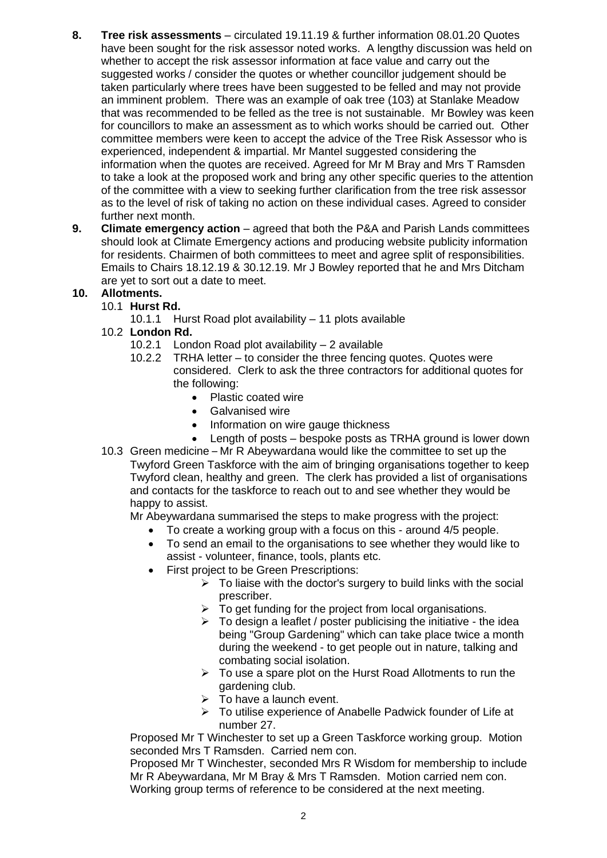- **8. Tree risk assessments**  circulated 19.11.19 & further information 08.01.20 Quotes have been sought for the risk assessor noted works. A lengthy discussion was held on whether to accept the risk assessor information at face value and carry out the suggested works / consider the quotes or whether councillor judgement should be taken particularly where trees have been suggested to be felled and may not provide an imminent problem. There was an example of oak tree (103) at Stanlake Meadow that was recommended to be felled as the tree is not sustainable. Mr Bowley was keen for councillors to make an assessment as to which works should be carried out. Other committee members were keen to accept the advice of the Tree Risk Assessor who is experienced, independent & impartial. Mr Mantel suggested considering the information when the quotes are received. Agreed for Mr M Bray and Mrs T Ramsden to take a look at the proposed work and bring any other specific queries to the attention of the committee with a view to seeking further clarification from the tree risk assessor as to the level of risk of taking no action on these individual cases. Agreed to consider further next month.
- **9. Climate emergency action** agreed that both the P&A and Parish Lands committees should look at Climate Emergency actions and producing website publicity information for residents. Chairmen of both committees to meet and agree split of responsibilities. Emails to Chairs 18.12.19 & 30.12.19. Mr J Bowley reported that he and Mrs Ditcham are yet to sort out a date to meet.

# **10. Allotments.**

- 10.1 **Hurst Rd.**
	- 10.1.1 Hurst Road plot availability 11 plots available

## 10.2 **London Rd.**

- 10.2.1 London Road plot availability 2 available
- 10.2.2 TRHA letter to consider the three fencing quotes. Quotes were considered. Clerk to ask the three contractors for additional quotes for the following:
	- Plastic coated wire
	- Galvanised wire
	- Information on wire gauge thickness
	- Length of posts bespoke posts as TRHA ground is lower down
- 10.3 Green medicine Mr R Abeywardana would like the committee to set up the Twyford Green Taskforce with the aim of bringing organisations together to keep Twyford clean, healthy and green. The clerk has provided a list of organisations and contacts for the taskforce to reach out to and see whether they would be happy to assist.

Mr Abeywardana summarised the steps to make progress with the project:

- To create a working group with a focus on this around 4/5 people.
- To send an email to the organisations to see whether they would like to assist - volunteer, finance, tools, plants etc.
- First project to be Green Prescriptions:
	- $\triangleright$  To liaise with the doctor's surgery to build links with the social prescriber.
	- $\triangleright$  To get funding for the project from local organisations.
	- $\triangleright$  To design a leaflet / poster publicising the initiative the idea being "Group Gardening" which can take place twice a month during the weekend - to get people out in nature, talking and combating social isolation.
	- ➢ To use a spare plot on the Hurst Road Allotments to run the gardening club.
	- $\triangleright$  To have a launch event.
	- ➢ To utilise experience of Anabelle Padwick founder of Life at number 27.

 Proposed Mr T Winchester to set up a Green Taskforce working group. Motion seconded Mrs T Ramsden. Carried nem con.

Proposed Mr T Winchester, seconded Mrs R Wisdom for membership to include Mr R Abeywardana, Mr M Bray & Mrs T Ramsden. Motion carried nem con. Working group terms of reference to be considered at the next meeting.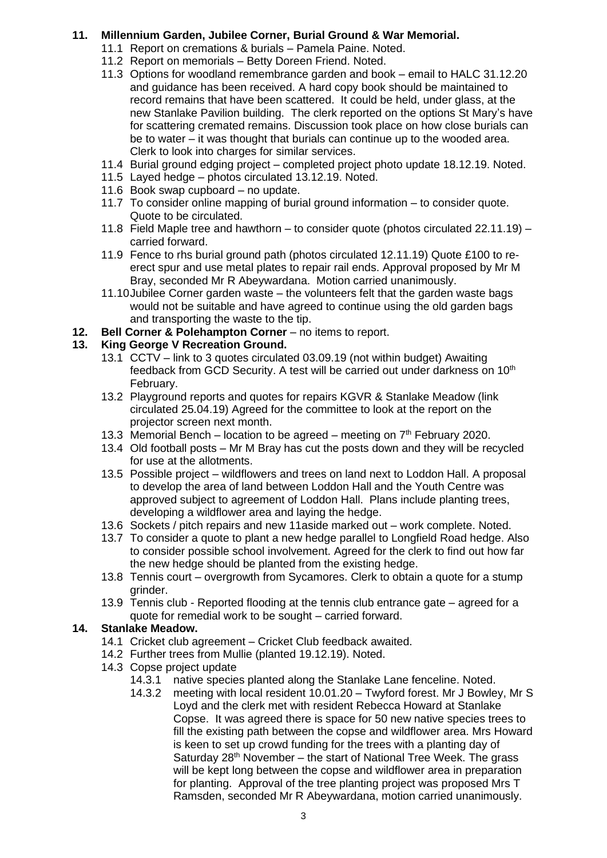## **11. Millennium Garden, Jubilee Corner, Burial Ground & War Memorial.**

- 11.1 Report on cremations & burials Pamela Paine. Noted.
- 11.2 Report on memorials Betty Doreen Friend. Noted.
- 11.3 Options for woodland remembrance garden and book email to HALC 31.12.20 and guidance has been received. A hard copy book should be maintained to record remains that have been scattered. It could be held, under glass, at the new Stanlake Pavilion building. The clerk reported on the options St Mary's have for scattering cremated remains. Discussion took place on how close burials can be to water – it was thought that burials can continue up to the wooded area. Clerk to look into charges for similar services.
- 11.4 Burial ground edging project completed project photo update 18.12.19. Noted.
- 11.5 Layed hedge photos circulated 13.12.19. Noted.
- 11.6 Book swap cupboard no update.
- 11.7 To consider online mapping of burial ground information to consider quote. Quote to be circulated.
- 11.8 Field Maple tree and hawthorn to consider quote (photos circulated 22.11.19) carried forward.
- 11.9 Fence to rhs burial ground path (photos circulated 12.11.19) Quote £100 to reerect spur and use metal plates to repair rail ends. Approval proposed by Mr M Bray, seconded Mr R Abeywardana. Motion carried unanimously.
- 11.10Jubilee Corner garden waste the volunteers felt that the garden waste bags would not be suitable and have agreed to continue using the old garden bags and transporting the waste to the tip.
- **12. Bell Corner & Polehampton Corner** no items to report.

## **13. King George V Recreation Ground.**

- 13.1 CCTV link to 3 quotes circulated 03.09.19 (not within budget) Awaiting feedback from GCD Security. A test will be carried out under darkness on 10<sup>th</sup> February.
- 13.2 Playground reports and quotes for repairs KGVR & Stanlake Meadow (link circulated 25.04.19) Agreed for the committee to look at the report on the projector screen next month.
- 13.3 Memorial Bench location to be agreed meeting on  $7<sup>th</sup>$  February 2020.
- 13.4 Old football posts Mr M Bray has cut the posts down and they will be recycled for use at the allotments.
- 13.5 Possible project wildflowers and trees on land next to Loddon Hall. A proposal to develop the area of land between Loddon Hall and the Youth Centre was approved subject to agreement of Loddon Hall. Plans include planting trees, developing a wildflower area and laying the hedge.
- 13.6 Sockets / pitch repairs and new 11aside marked out work complete. Noted.
- 13.7 To consider a quote to plant a new hedge parallel to Longfield Road hedge. Also to consider possible school involvement. Agreed for the clerk to find out how far the new hedge should be planted from the existing hedge.
- 13.8 Tennis court overgrowth from Sycamores. Clerk to obtain a quote for a stump grinder.
- 13.9 Tennis club Reported flooding at the tennis club entrance gate agreed for a quote for remedial work to be sought – carried forward.

## **14. Stanlake Meadow.**

- 14.1 Cricket club agreement Cricket Club feedback awaited.
- 14.2 Further trees from Mullie (planted 19.12.19). Noted.
- 14.3 Copse project update
	- 14.3.1 native species planted along the Stanlake Lane fenceline. Noted.
	- 14.3.2 meeting with local resident 10.01.20 Twyford forest. Mr J Bowley, Mr S Loyd and the clerk met with resident Rebecca Howard at Stanlake Copse. It was agreed there is space for 50 new native species trees to fill the existing path between the copse and wildflower area. Mrs Howard is keen to set up crowd funding for the trees with a planting day of Saturday  $28<sup>th</sup>$  November – the start of National Tree Week. The grass will be kept long between the copse and wildflower area in preparation for planting. Approval of the tree planting project was proposed Mrs T Ramsden, seconded Mr R Abeywardana, motion carried unanimously.